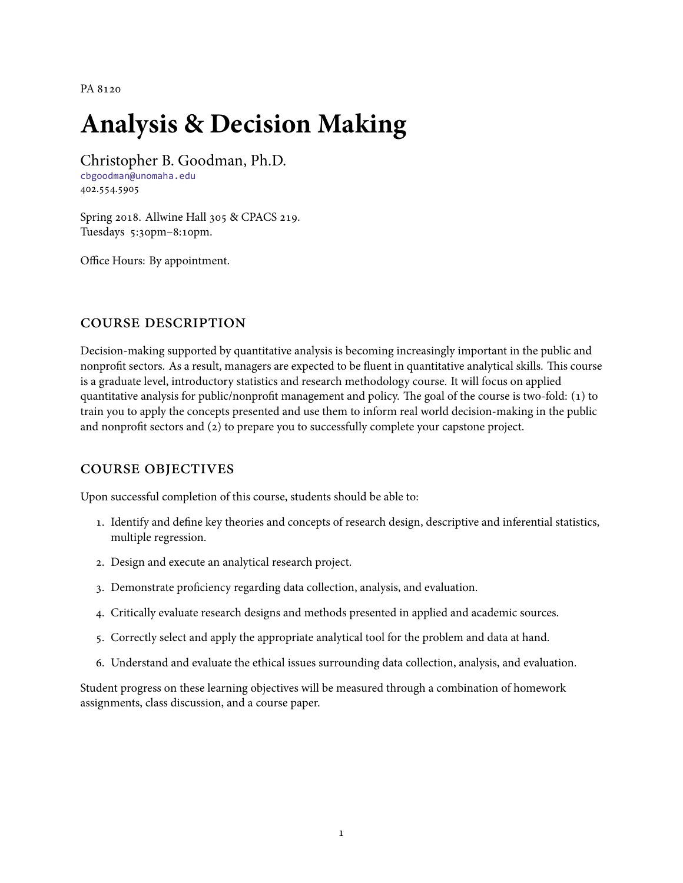PA 8120

# **Analysis & Decision Making**

Christopher B. Goodman, Ph.D.

[cbgoodman@unomaha.edu](mailto:cbgoodman@unomaha.edu) 402.554.5905

Spring 2018. Allwine Hall 305 & CPACS 219. Tuesdays 5:30pm–8:10pm.

Office Hours: By appointment.

# course description

Decision-making supported by quantitative analysis is becoming increasingly important in the public and nonprofit sectors. As a result, managers are expected to be fluent in quantitative analytical skills. This course is a graduate level, introductory statistics and research methodology course. It will focus on applied quantitative analysis for public/nonprofit management and policy. The goal of the course is two-fold: (1) to train you to apply the concepts presented and use them to inform real world decision-making in the public and nonprofit sectors and (2) to prepare you to successfully complete your capstone project.

# course objectives

Upon successful completion of this course, students should be able to:

- 1. Identify and define key theories and concepts of research design, descriptive and inferential statistics, multiple regression.
- 2. Design and execute an analytical research project.
- 3. Demonstrate proficiency regarding data collection, analysis, and evaluation.
- 4. Critically evaluate research designs and methods presented in applied and academic sources.
- 5. Correctly select and apply the appropriate analytical tool for the problem and data at hand.
- 6. Understand and evaluate the ethical issues surrounding data collection, analysis, and evaluation.

Student progress on these learning objectives will be measured through a combination of homework assignments, class discussion, and a course paper.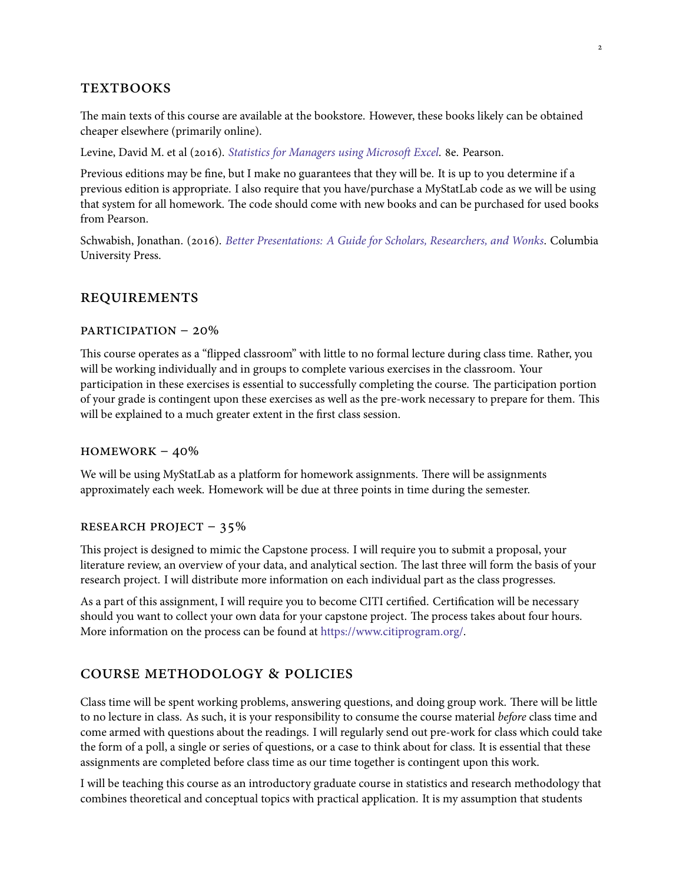# **TEXTBOOKS**

The main texts of this course are available at the bookstore. However, these books likely can be obtained cheaper elsewhere (primarily online).

Levine, David M. et al (2016). *[Statistics for Managers using Microsoft Excel](https://www.amazon.com/Statistics-Managers-Using-Microsoft-Excel/dp/0134173058/)*. 8e. Pearson.

Previous editions may be fine, but I make no guarantees that they will be. It is up to you determine if a previous edition is appropriate. I also require that you have/purchase a MyStatLab code as we will be using that system for all homework. The code should come with new books and can be purchased for used books from Pearson.

Schwabish, Jonathan. (2016). *[Better Presentations: A Guide for Scholars, Researchers, and Wonks](https://www.amazon.com/Better-Presentations-Guide-Scholars-Researchers/dp/0231175213/)*. Columbia University Press.

## requirements

# participation – 20%

This course operates as a "flipped classroom" with little to no formal lecture during class time. Rather, you will be working individually and in groups to complete various exercises in the classroom. Your participation in these exercises is essential to successfully completing the course. The participation portion of your grade is contingent upon these exercises as well as the pre-work necessary to prepare for them. This will be explained to a much greater extent in the first class session.

#### $HOMEWORK - 40%$

We will be using MyStatLab as a platform for homework assignments. There will be assignments approximately each week. Homework will be due at three points in time during the semester.

### research project – 35%

This project is designed to mimic the Capstone process. I will require you to submit a proposal, your literature review, an overview of your data, and analytical section. The last three will form the basis of your research project. I will distribute more information on each individual part as the class progresses.

As a part of this assignment, I will require you to become CITI certified. Certification will be necessary should you want to collect your own data for your capstone project. The process takes about four hours. More information on the process can be found at <https://www.citiprogram.org/>.

## course methodology & policies

Class time will be spent working problems, answering questions, and doing group work. There will be little to no lecture in class. As such, it is your responsibility to consume the course material *before* class time and come armed with questions about the readings. I will regularly send out pre-work for class which could take the form of a poll, a single or series of questions, or a case to think about for class. It is essential that these assignments are completed before class time as our time together is contingent upon this work.

I will be teaching this course as an introductory graduate course in statistics and research methodology that combines theoretical and conceptual topics with practical application. It is my assumption that students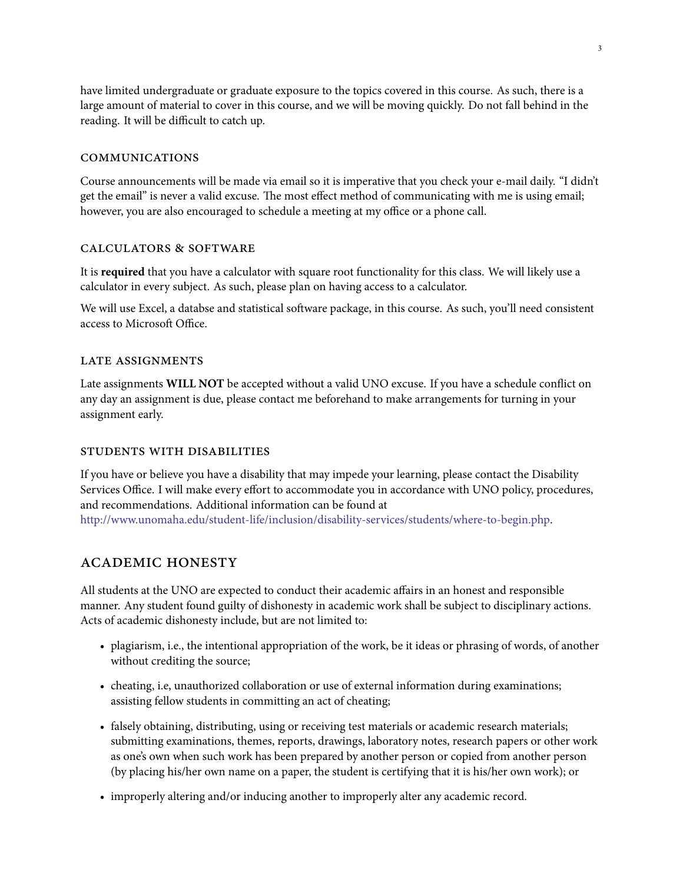have limited undergraduate or graduate exposure to the topics covered in this course. As such, there is a large amount of material to cover in this course, and we will be moving quickly. Do not fall behind in the reading. It will be difficult to catch up.

# communications

Course announcements will be made via email so it is imperative that you check your e-mail daily. "I didn't get the email" is never a valid excuse. The most effect method of communicating with me is using email; however, you are also encouraged to schedule a meeting at my office or a phone call.

#### calculators & software

It is **required** that you have a calculator with square root functionality for this class. We will likely use a calculator in every subject. As such, please plan on having access to a calculator.

We will use Excel, a databse and statistical software package, in this course. As such, you'll need consistent access to Microsoft Office.

#### late assignments

Late assignments **WILL NOT** be accepted without a valid UNO excuse. If you have a schedule conflict on any day an assignment is due, please contact me beforehand to make arrangements for turning in your assignment early.

## students with disabilities

If you have or believe you have a disability that may impede your learning, please contact the Disability Services Office. I will make every effort to accommodate you in accordance with UNO policy, procedures, and recommendations. Additional information can be found at <http://www.unomaha.edu/student-life/inclusion/disability-services/students/where-to-begin.php>.

## academic honesty

All students at the UNO are expected to conduct their academic affairs in an honest and responsible manner. Any student found guilty of dishonesty in academic work shall be subject to disciplinary actions. Acts of academic dishonesty include, but are not limited to:

- plagiarism, i.e., the intentional appropriation of the work, be it ideas or phrasing of words, of another without crediting the source;
- cheating, i.e, unauthorized collaboration or use of external information during examinations; assisting fellow students in committing an act of cheating;
- falsely obtaining, distributing, using or receiving test materials or academic research materials; submitting examinations, themes, reports, drawings, laboratory notes, research papers or other work as one's own when such work has been prepared by another person or copied from another person (by placing his/her own name on a paper, the student is certifying that it is his/her own work); or
- improperly altering and/or inducing another to improperly alter any academic record.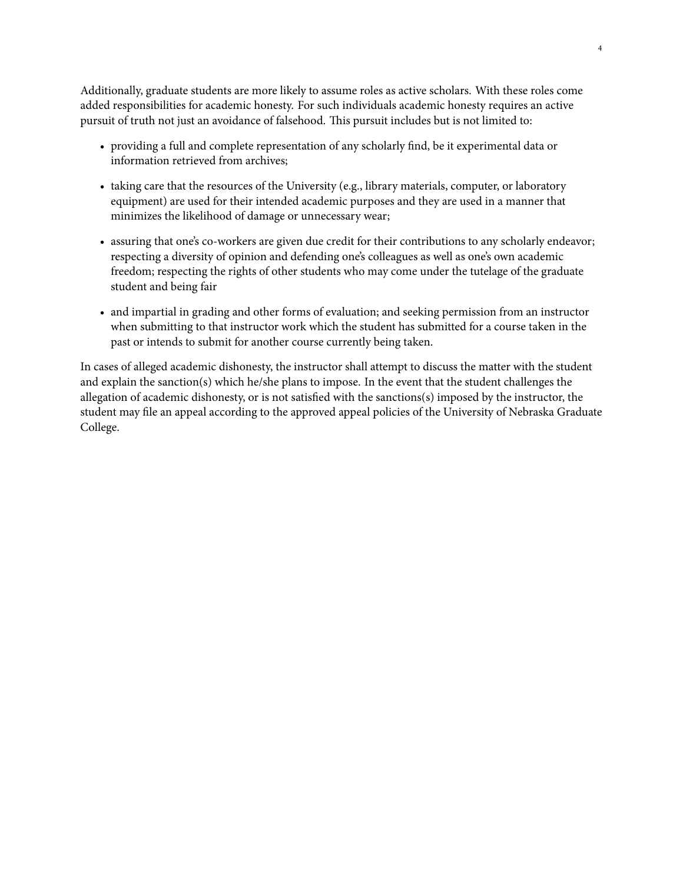Additionally, graduate students are more likely to assume roles as active scholars. With these roles come added responsibilities for academic honesty. For such individuals academic honesty requires an active pursuit of truth not just an avoidance of falsehood. This pursuit includes but is not limited to:

- providing a full and complete representation of any scholarly find, be it experimental data or information retrieved from archives;
- taking care that the resources of the University (e.g., library materials, computer, or laboratory equipment) are used for their intended academic purposes and they are used in a manner that minimizes the likelihood of damage or unnecessary wear;
- assuring that one's co-workers are given due credit for their contributions to any scholarly endeavor; respecting a diversity of opinion and defending one's colleagues as well as one's own academic freedom; respecting the rights of other students who may come under the tutelage of the graduate student and being fair
- and impartial in grading and other forms of evaluation; and seeking permission from an instructor when submitting to that instructor work which the student has submitted for a course taken in the past or intends to submit for another course currently being taken.

In cases of alleged academic dishonesty, the instructor shall attempt to discuss the matter with the student and explain the sanction(s) which he/she plans to impose. In the event that the student challenges the allegation of academic dishonesty, or is not satisfied with the sanctions(s) imposed by the instructor, the student may file an appeal according to the approved appeal policies of the University of Nebraska Graduate College.